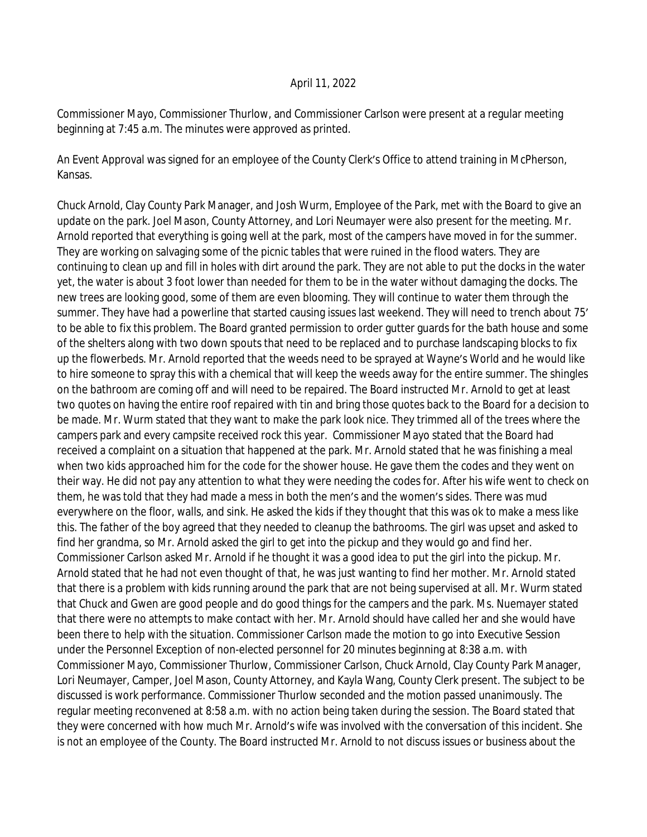## April 11, 2022

Commissioner Mayo, Commissioner Thurlow, and Commissioner Carlson were present at a regular meeting beginning at 7:45 a.m. The minutes were approved as printed.

An Event Approval was signed for an employee of the County Clerk's Office to attend training in McPherson, Kansas.

Chuck Arnold, Clay County Park Manager, and Josh Wurm, Employee of the Park, met with the Board to give an update on the park. Joel Mason, County Attorney, and Lori Neumayer were also present for the meeting. Mr. Arnold reported that everything is going well at the park, most of the campers have moved in for the summer. They are working on salvaging some of the picnic tables that were ruined in the flood waters. They are continuing to clean up and fill in holes with dirt around the park. They are not able to put the docks in the water yet, the water is about 3 foot lower than needed for them to be in the water without damaging the docks. The new trees are looking good, some of them are even blooming. They will continue to water them through the summer. They have had a powerline that started causing issues last weekend. They will need to trench about 75' to be able to fix this problem. The Board granted permission to order gutter guards for the bath house and some of the shelters along with two down spouts that need to be replaced and to purchase landscaping blocks to fix up the flowerbeds. Mr. Arnold reported that the weeds need to be sprayed at Wayne's World and he would like to hire someone to spray this with a chemical that will keep the weeds away for the entire summer. The shingles on the bathroom are coming off and will need to be repaired. The Board instructed Mr. Arnold to get at least two quotes on having the entire roof repaired with tin and bring those quotes back to the Board for a decision to be made. Mr. Wurm stated that they want to make the park look nice. They trimmed all of the trees where the campers park and every campsite received rock this year. Commissioner Mayo stated that the Board had received a complaint on a situation that happened at the park. Mr. Arnold stated that he was finishing a meal when two kids approached him for the code for the shower house. He gave them the codes and they went on their way. He did not pay any attention to what they were needing the codes for. After his wife went to check on them, he was told that they had made a mess in both the men's and the women's sides. There was mud everywhere on the floor, walls, and sink. He asked the kids if they thought that this was ok to make a mess like this. The father of the boy agreed that they needed to cleanup the bathrooms. The girl was upset and asked to find her grandma, so Mr. Arnold asked the girl to get into the pickup and they would go and find her. Commissioner Carlson asked Mr. Arnold if he thought it was a good idea to put the girl into the pickup. Mr. Arnold stated that he had not even thought of that, he was just wanting to find her mother. Mr. Arnold stated that there is a problem with kids running around the park that are not being supervised at all. Mr. Wurm stated that Chuck and Gwen are good people and do good things for the campers and the park. Ms. Nuemayer stated that there were no attempts to make contact with her. Mr. Arnold should have called her and she would have been there to help with the situation. Commissioner Carlson made the motion to go into Executive Session under the Personnel Exception of non-elected personnel for 20 minutes beginning at 8:38 a.m. with Commissioner Mayo, Commissioner Thurlow, Commissioner Carlson, Chuck Arnold, Clay County Park Manager, Lori Neumayer, Camper, Joel Mason, County Attorney, and Kayla Wang, County Clerk present. The subject to be discussed is work performance. Commissioner Thurlow seconded and the motion passed unanimously. The regular meeting reconvened at 8:58 a.m. with no action being taken during the session. The Board stated that they were concerned with how much Mr. Arnold's wife was involved with the conversation of this incident. She is not an employee of the County. The Board instructed Mr. Arnold to not discuss issues or business about the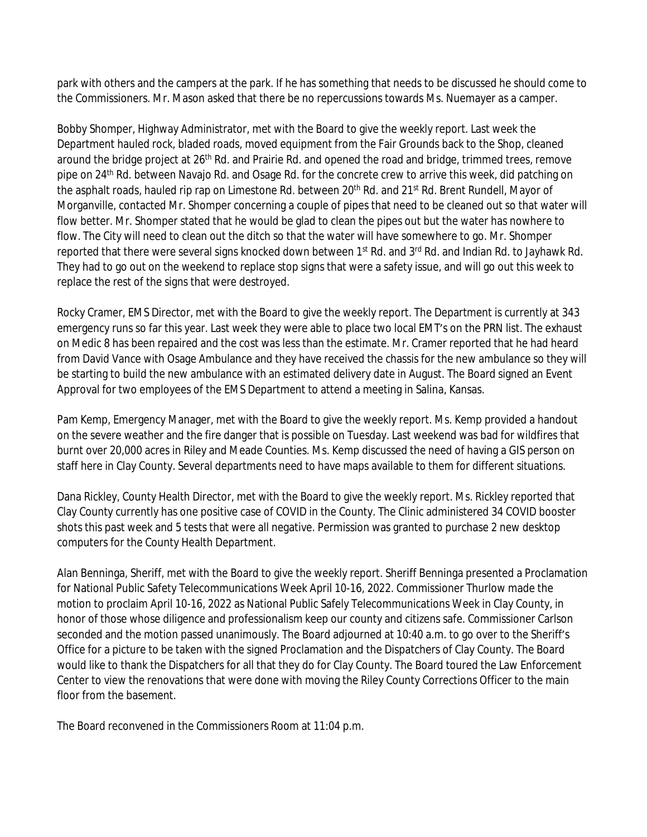park with others and the campers at the park. If he has something that needs to be discussed he should come to the Commissioners. Mr. Mason asked that there be no repercussions towards Ms. Nuemayer as a camper.

Bobby Shomper, Highway Administrator, met with the Board to give the weekly report. Last week the Department hauled rock, bladed roads, moved equipment from the Fair Grounds back to the Shop, cleaned around the bridge project at 26<sup>th</sup> Rd. and Prairie Rd. and opened the road and bridge, trimmed trees, remove pipe on 24<sup>th</sup> Rd. between Navajo Rd. and Osage Rd. for the concrete crew to arrive this week, did patching on the asphalt roads, hauled rip rap on Limestone Rd. between 20<sup>th</sup> Rd. and 21<sup>st</sup> Rd. Brent Rundell, Mayor of Morganville, contacted Mr. Shomper concerning a couple of pipes that need to be cleaned out so that water will flow better. Mr. Shomper stated that he would be glad to clean the pipes out but the water has nowhere to flow. The City will need to clean out the ditch so that the water will have somewhere to go. Mr. Shomper reported that there were several signs knocked down between 1<sup>st</sup> Rd. and 3<sup>rd</sup> Rd. and Indian Rd. to Jayhawk Rd. They had to go out on the weekend to replace stop signs that were a safety issue, and will go out this week to replace the rest of the signs that were destroyed.

Rocky Cramer, EMS Director, met with the Board to give the weekly report. The Department is currently at 343 emergency runs so far this year. Last week they were able to place two local EMT's on the PRN list. The exhaust on Medic 8 has been repaired and the cost was less than the estimate. Mr. Cramer reported that he had heard from David Vance with Osage Ambulance and they have received the chassis for the new ambulance so they will be starting to build the new ambulance with an estimated delivery date in August. The Board signed an Event Approval for two employees of the EMS Department to attend a meeting in Salina, Kansas.

Pam Kemp, Emergency Manager, met with the Board to give the weekly report. Ms. Kemp provided a handout on the severe weather and the fire danger that is possible on Tuesday. Last weekend was bad for wildfires that burnt over 20,000 acres in Riley and Meade Counties. Ms. Kemp discussed the need of having a GIS person on staff here in Clay County. Several departments need to have maps available to them for different situations.

Dana Rickley, County Health Director, met with the Board to give the weekly report. Ms. Rickley reported that Clay County currently has one positive case of COVID in the County. The Clinic administered 34 COVID booster shots this past week and 5 tests that were all negative. Permission was granted to purchase 2 new desktop computers for the County Health Department.

Alan Benninga, Sheriff, met with the Board to give the weekly report. Sheriff Benninga presented a Proclamation for National Public Safety Telecommunications Week April 10-16, 2022. Commissioner Thurlow made the motion to proclaim April 10-16, 2022 as National Public Safely Telecommunications Week in Clay County, in honor of those whose diligence and professionalism keep our county and citizens safe. Commissioner Carlson seconded and the motion passed unanimously. The Board adjourned at 10:40 a.m. to go over to the Sheriff's Office for a picture to be taken with the signed Proclamation and the Dispatchers of Clay County. The Board would like to thank the Dispatchers for all that they do for Clay County. The Board toured the Law Enforcement Center to view the renovations that were done with moving the Riley County Corrections Officer to the main floor from the basement.

The Board reconvened in the Commissioners Room at 11:04 p.m.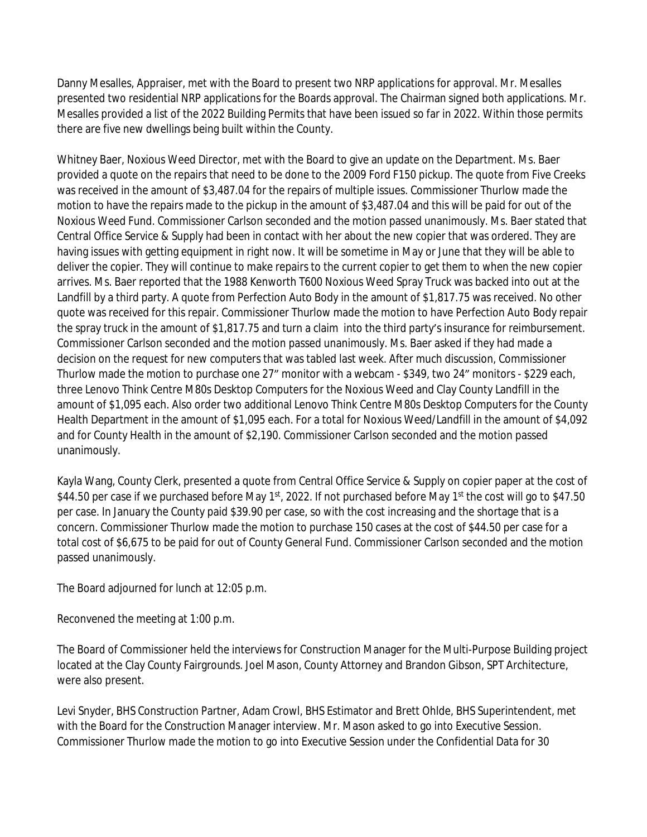Danny Mesalles, Appraiser, met with the Board to present two NRP applications for approval. Mr. Mesalles presented two residential NRP applications for the Boards approval. The Chairman signed both applications. Mr. Mesalles provided a list of the 2022 Building Permits that have been issued so far in 2022. Within those permits there are five new dwellings being built within the County.

Whitney Baer, Noxious Weed Director, met with the Board to give an update on the Department. Ms. Baer provided a quote on the repairs that need to be done to the 2009 Ford F150 pickup. The quote from Five Creeks was received in the amount of \$3,487.04 for the repairs of multiple issues. Commissioner Thurlow made the motion to have the repairs made to the pickup in the amount of \$3,487.04 and this will be paid for out of the Noxious Weed Fund. Commissioner Carlson seconded and the motion passed unanimously. Ms. Baer stated that Central Office Service & Supply had been in contact with her about the new copier that was ordered. They are having issues with getting equipment in right now. It will be sometime in May or June that they will be able to deliver the copier. They will continue to make repairs to the current copier to get them to when the new copier arrives. Ms. Baer reported that the 1988 Kenworth T600 Noxious Weed Spray Truck was backed into out at the Landfill by a third party. A quote from Perfection Auto Body in the amount of \$1,817.75 was received. No other quote was received for this repair. Commissioner Thurlow made the motion to have Perfection Auto Body repair the spray truck in the amount of \$1,817.75 and turn a claim into the third party's insurance for reimbursement. Commissioner Carlson seconded and the motion passed unanimously. Ms. Baer asked if they had made a decision on the request for new computers that was tabled last week. After much discussion, Commissioner Thurlow made the motion to purchase one 27" monitor with a webcam - \$349, two 24" monitors - \$229 each, three Lenovo Think Centre M80s Desktop Computers for the Noxious Weed and Clay County Landfill in the amount of \$1,095 each. Also order two additional Lenovo Think Centre M80s Desktop Computers for the County Health Department in the amount of \$1,095 each. For a total for Noxious Weed/Landfill in the amount of \$4,092 and for County Health in the amount of \$2,190. Commissioner Carlson seconded and the motion passed unanimously.

Kayla Wang, County Clerk, presented a quote from Central Office Service & Supply on copier paper at the cost of \$44.50 per case if we purchased before May 1<sup>st</sup>, 2022. If not purchased before May 1<sup>st</sup> the cost will go to \$47.50 per case. In January the County paid \$39.90 per case, so with the cost increasing and the shortage that is a concern. Commissioner Thurlow made the motion to purchase 150 cases at the cost of \$44.50 per case for a total cost of \$6,675 to be paid for out of County General Fund. Commissioner Carlson seconded and the motion passed unanimously.

The Board adjourned for lunch at 12:05 p.m.

Reconvened the meeting at 1:00 p.m.

The Board of Commissioner held the interviews for Construction Manager for the Multi-Purpose Building project located at the Clay County Fairgrounds. Joel Mason, County Attorney and Brandon Gibson, SPT Architecture, were also present.

Levi Snyder, BHS Construction Partner, Adam Crowl, BHS Estimator and Brett Ohlde, BHS Superintendent, met with the Board for the Construction Manager interview. Mr. Mason asked to go into Executive Session. Commissioner Thurlow made the motion to go into Executive Session under the Confidential Data for 30